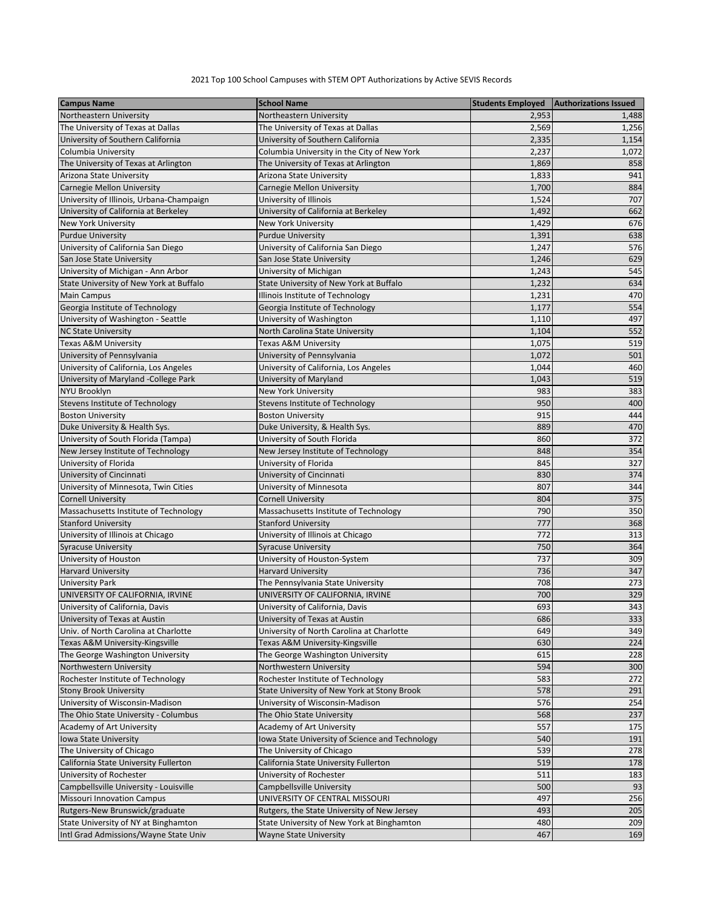## 2021 Top 100 School Campuses with STEM OPT Authorizations by Active SEVIS Records

| <b>Campus Name</b>                       | <b>School Name</b>                              | <b>Students Employed</b> | <b>Authorizations Issued</b> |
|------------------------------------------|-------------------------------------------------|--------------------------|------------------------------|
| Northeastern University                  | Northeastern University                         | 2,953                    | 1,488                        |
| The University of Texas at Dallas        | The University of Texas at Dallas               | 2,569                    | 1,256                        |
| University of Southern California        | University of Southern California               | 2,335                    | 1,154                        |
| Columbia University                      | Columbia University in the City of New York     | 2,237                    | 1,072                        |
| The University of Texas at Arlington     | The University of Texas at Arlington            | 1,869                    | 858                          |
| Arizona State University                 | Arizona State University                        | 1,833                    | 941                          |
| Carnegie Mellon University               | Carnegie Mellon University                      | 1,700                    | 884                          |
| University of Illinois, Urbana-Champaign | University of Illinois                          | 1,524                    | 707                          |
| University of California at Berkeley     | University of California at Berkeley            | 1,492                    | 662                          |
| <b>New York University</b>               | <b>New York University</b>                      | 1,429                    | 676                          |
| <b>Purdue University</b>                 | <b>Purdue University</b>                        | 1,391                    | 638                          |
| University of California San Diego       | University of California San Diego              | 1,247                    | 576                          |
| San Jose State University                | San Jose State University                       | 1,246                    | 629                          |
| University of Michigan - Ann Arbor       | University of Michigan                          | 1,243                    | 545                          |
| State University of New York at Buffalo  | State University of New York at Buffalo         | 1,232                    | 634                          |
| <b>Main Campus</b>                       | Illinois Institute of Technology                | 1,231                    | 470                          |
| Georgia Institute of Technology          | Georgia Institute of Technology                 | 1,177                    | 554                          |
| University of Washington - Seattle       | University of Washington                        | 1,110                    | 497                          |
| <b>NC State University</b>               | North Carolina State University                 | 1,104                    | 552                          |
| Texas A&M University                     | Texas A&M University                            | 1,075                    | 519                          |
| University of Pennsylvania               | University of Pennsylvania                      | 1,072                    | 501                          |
| University of California, Los Angeles    | University of California, Los Angeles           | 1,044                    | 460                          |
| University of Maryland -College Park     | University of Maryland                          | 1,043                    | 519                          |
| <b>NYU Brooklyn</b>                      | <b>New York University</b>                      | 983                      | 383                          |
| <b>Stevens Institute of Technology</b>   | Stevens Institute of Technology                 | 950                      | 400                          |
| <b>Boston University</b>                 | <b>Boston University</b>                        | 915                      | 444                          |
| Duke University & Health Sys.            | Duke University, & Health Sys.                  | 889                      | 470                          |
| University of South Florida (Tampa)      | University of South Florida                     | 860                      | 372                          |
| New Jersey Institute of Technology       | New Jersey Institute of Technology              | 848                      | 354                          |
| University of Florida                    | University of Florida                           | 845                      | 327                          |
| University of Cincinnati                 | University of Cincinnati                        | 830                      | 374                          |
| University of Minnesota, Twin Cities     | University of Minnesota                         | 807                      | 344                          |
| <b>Cornell University</b>                | <b>Cornell University</b>                       | 804                      | 375                          |
| Massachusetts Institute of Technology    | Massachusetts Institute of Technology           | 790                      | 350                          |
| <b>Stanford University</b>               | <b>Stanford University</b>                      | 777                      | 368                          |
| University of Illinois at Chicago        | University of Illinois at Chicago               | 772                      | 313                          |
| <b>Syracuse University</b>               | <b>Syracuse University</b>                      | 750                      | 364                          |
| University of Houston                    | University of Houston-System                    | 737                      | 309                          |
| <b>Harvard University</b>                | <b>Harvard University</b>                       | 736                      | 347                          |
| <b>University Park</b>                   | The Pennsylvania State University               | 708                      | 273                          |
| UNIVERSITY OF CALIFORNIA, IRVINE         | UNIVERSITY OF CALIFORNIA, IRVINE                | 700                      | 329                          |
| University of California, Davis          | University of California, Davis                 | 693                      | 343                          |
| University of Texas at Austin            | University of Texas at Austin                   | 686                      | 333                          |
| Univ. of North Carolina at Charlotte     | University of North Carolina at Charlotte       | 649                      | 349                          |
| Texas A&M University-Kingsville          | Texas A&M University-Kingsville                 | 630                      | 224                          |
| The George Washington University         | The George Washington University                | 615                      | 228                          |
| Northwestern University                  | Northwestern University                         | 594                      | 300                          |
| Rochester Institute of Technology        | Rochester Institute of Technology               | 583                      | 272                          |
| <b>Stony Brook University</b>            | State University of New York at Stony Brook     | 578                      | 291                          |
| University of Wisconsin-Madison          | University of Wisconsin-Madison                 | 576                      | 254                          |
| The Ohio State University - Columbus     | The Ohio State University                       | 568                      | 237                          |
| Academy of Art University                | Academy of Art University                       | 557                      | 175                          |
| Iowa State University                    | Iowa State University of Science and Technology | 540                      | 191                          |
| The University of Chicago                | The University of Chicago                       | 539                      | 278                          |
| California State University Fullerton    | California State University Fullerton           | 519                      | 178                          |
| University of Rochester                  | University of Rochester                         | 511                      | 183                          |
| Campbellsville University - Louisville   | Campbellsville University                       | 500                      | 93                           |
| <b>Missouri Innovation Campus</b>        | UNIVERSITY OF CENTRAL MISSOURI                  | 497                      | 256                          |
| Rutgers-New Brunswick/graduate           | Rutgers, the State University of New Jersey     | 493                      | 205                          |
| State University of NY at Binghamton     | State University of New York at Binghamton      | 480                      | 209                          |
| Intl Grad Admissions/Wayne State Univ    | <b>Wayne State University</b>                   | 467                      | 169                          |